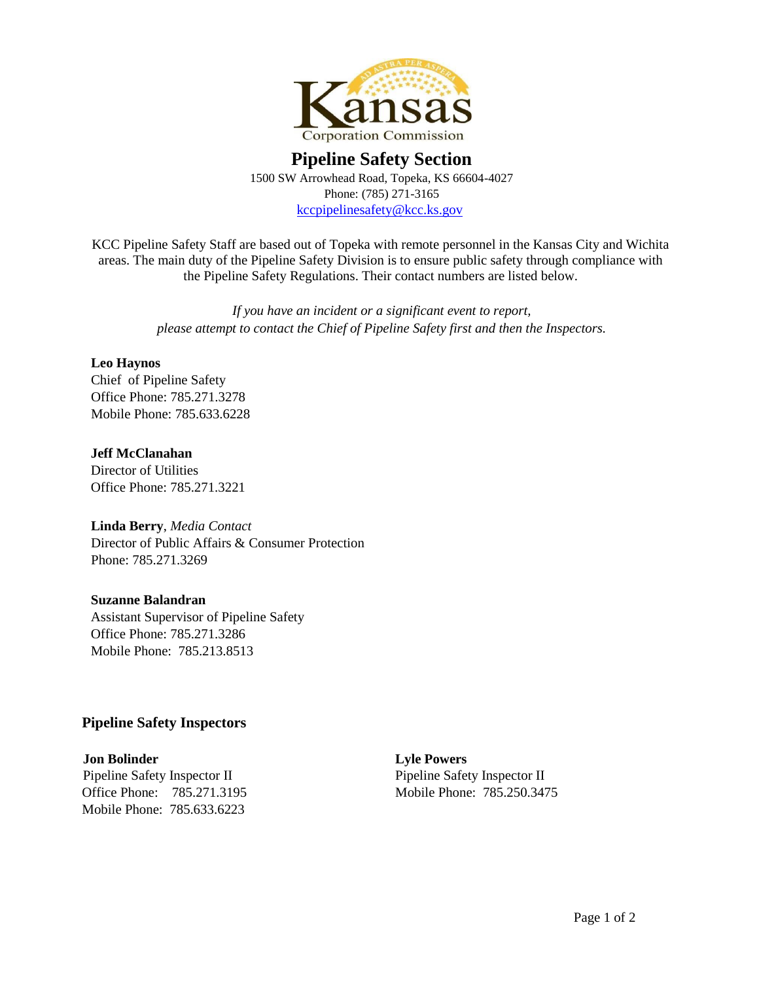

# **Pipeline Safety Section**  1500 SW Arrowhead Road, Topeka, KS 66604-4027 Phone: (785) 271-3165 kccpipelinesafety@kcc.ks.gov

KCC Pipeline Safety Staff are based out of Topeka with remote personnel in the Kansas City and Wichita areas. The main duty of the Pipeline Safety Division is to ensure public safety through compliance with the Pipeline Safety Regulations. Their contact numbers are listed below.

> *If you have an incident or a significant event to report, please attempt to contact the Chief of Pipeline Safety first and then the Inspectors.*

## **Leo Haynos**

Chief of Pipeline Safety Office Phone: 785.271.3278 Mobile Phone: 785.633.6228

## **Jeff McClanahan** Director of Utilities

Office Phone: 785.271.3221

## **Linda Berry**, *Media Contact*

Director of Public Affairs & Consumer Protection Phone: 785.271.3269

## **Suzanne Balandran**

Assistant Supervisor of Pipeline Safety Office Phone: 785.271.3286 Mobile Phone: 785.213.8513

# **Pipeline Safety Inspectors**

**Jon Bolinder Lyle Powers** Pipeline Safety Inspector II Pipeline Safety Inspector II Office Phone: 785.271.3195 Mobile Phone: 785.250.3475 Mobile Phone: 785.633.6223